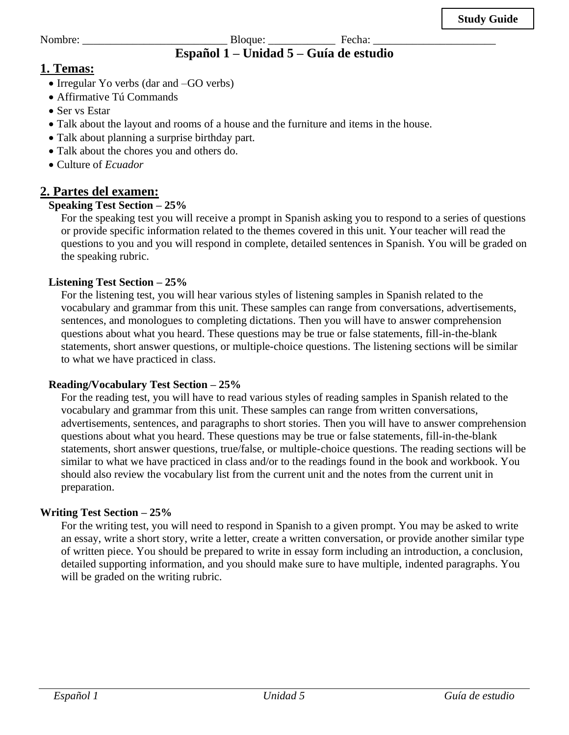Nombre: \_\_\_\_\_\_\_\_\_\_\_\_\_\_\_\_\_\_\_\_\_\_\_\_\_\_ Bloque: \_\_\_\_\_\_\_\_\_\_\_\_ Fecha: \_\_\_\_\_\_\_\_\_\_\_\_\_\_\_\_\_\_\_\_\_\_ **Español 1 – Unidad 5 – Guía de estudio**

# **1. Temas:**

- Irregular Yo verbs (dar and –GO verbs)
- Affirmative Tú Commands
- Ser vs Estar
- Talk about the layout and rooms of a house and the furniture and items in the house.
- Talk about planning a surprise birthday part.
- Talk about the chores you and others do.
- Culture of *Ecuador*

# **2. Partes del examen:**

### **Speaking Test Section – 25%**

For the speaking test you will receive a prompt in Spanish asking you to respond to a series of questions or provide specific information related to the themes covered in this unit. Your teacher will read the questions to you and you will respond in complete, detailed sentences in Spanish. You will be graded on the speaking rubric.

#### **Listening Test Section – 25%**

For the listening test, you will hear various styles of listening samples in Spanish related to the vocabulary and grammar from this unit. These samples can range from conversations, advertisements, sentences, and monologues to completing dictations. Then you will have to answer comprehension questions about what you heard. These questions may be true or false statements, fill-in-the-blank statements, short answer questions, or multiple-choice questions. The listening sections will be similar to what we have practiced in class.

#### **Reading/Vocabulary Test Section – 25%**

For the reading test, you will have to read various styles of reading samples in Spanish related to the vocabulary and grammar from this unit. These samples can range from written conversations, advertisements, sentences, and paragraphs to short stories. Then you will have to answer comprehension questions about what you heard. These questions may be true or false statements, fill-in-the-blank statements, short answer questions, true/false, or multiple-choice questions. The reading sections will be similar to what we have practiced in class and/or to the readings found in the book and workbook. You should also review the vocabulary list from the current unit and the notes from the current unit in preparation.

#### **Writing Test Section – 25%**

For the writing test, you will need to respond in Spanish to a given prompt. You may be asked to write an essay, write a short story, write a letter, create a written conversation, or provide another similar type of written piece. You should be prepared to write in essay form including an introduction, a conclusion, detailed supporting information, and you should make sure to have multiple, indented paragraphs. You will be graded on the writing rubric.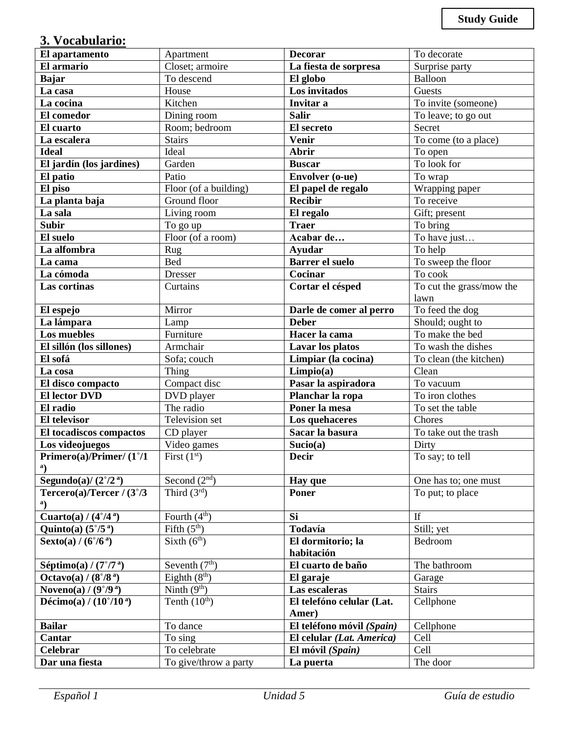# **3. Vocabulario:**

| El apartamento                             | Apartment             | <b>Decorar</b>                         | To decorate              |  |
|--------------------------------------------|-----------------------|----------------------------------------|--------------------------|--|
| El armario                                 | Closet; armoire       | La fiesta de sorpresa                  | Surprise party           |  |
| <b>Bajar</b>                               | To descend            | El globo                               | Balloon                  |  |
| La casa                                    | House                 | Los invitados                          | Guests                   |  |
| La cocina                                  | Kitchen               | Invitar a                              | To invite (someone)      |  |
| El comedor                                 | Dining room           | <b>Salir</b>                           | To leave; to go out      |  |
| El cuarto                                  | Room; bedroom         | El secreto                             | Secret                   |  |
| La escalera                                | <b>Stairs</b>         | <b>Venir</b>                           | To come (to a place)     |  |
| <b>Ideal</b>                               | Ideal                 | Abrir                                  | To open                  |  |
| El jardín (los jardines)                   | Garden                | <b>Buscar</b>                          | To look for              |  |
| El patio                                   | Patio                 | <b>Envolver</b> (o-ue)                 | To wrap                  |  |
| El piso                                    | Floor (of a building) | El papel de regalo                     | Wrapping paper           |  |
| La planta baja                             | Ground floor          | <b>Recibir</b>                         | To receive               |  |
| La sala                                    | Living room           | El regalo                              | Gift; present            |  |
| <b>Subir</b>                               | To go up              | <b>Traer</b>                           | To bring                 |  |
| El suelo                                   | Floor (of a room)     | Acabar de                              | To have just             |  |
| La alfombra                                | Rug                   | <b>Ayudar</b>                          | To help                  |  |
| La cama                                    | <b>Bed</b>            | <b>Barrer el suelo</b>                 | To sweep the floor       |  |
| La cómoda                                  | <b>Dresser</b>        | Cocinar                                | To cook                  |  |
| Las cortinas                               | Curtains              | Cortar el césped                       | To cut the grass/mow the |  |
|                                            |                       |                                        | lawn                     |  |
| El espejo                                  | Mirror                | Darle de comer al perro                | To feed the dog          |  |
| La lámpara                                 | Lamp                  | <b>Deber</b>                           | Should; ought to         |  |
| Los muebles                                | Furniture             | Hacer la cama                          | To make the bed          |  |
| El sillón (los sillones)                   | Armchair              | Lavar los platos                       | To wash the dishes       |  |
| El sofá                                    | Sofa; couch           | Limpiar (la cocina)                    | To clean (the kitchen)   |  |
| La cosa                                    | Thing                 | Limpio(a)                              | Clean                    |  |
| El disco compacto                          | Compact disc          | Pasar la aspiradora                    | To vacuum                |  |
| <b>El lector DVD</b>                       | DVD player            | Planchar la ropa                       | To iron clothes          |  |
| El radio                                   | The radio             | Poner la mesa                          | To set the table         |  |
| <b>El televisor</b>                        | Television set        | Los quehaceres                         | Chores                   |  |
| El tocadiscos compactos                    | CD player             | Sacar la basura                        | To take out the trash    |  |
| Los videojuegos                            | Video games           | Sucio(a)                               | Dirty                    |  |
| Primero(a)/Primer/(1°/1                    | First $(1st)$         | <b>Decir</b>                           | To say; to tell          |  |
| a)                                         |                       |                                        |                          |  |
| Segundo(a)/ $(2^{\circ}/2^{\alpha})$       | Second $(2nd)$        | Hay que                                | One has to; one must     |  |
| Tercero(a)/Tercer / $(3^{\circ}/3)$        | Third $(3rd)$         | <b>Poner</b>                           | To put; to place         |  |
| <sup>a</sup> )                             |                       |                                        |                          |  |
| Cuarto(a) / $(4^{\circ}/4^{\circ})$        | Fourth $(4th)$        | Si                                     | If                       |  |
| Quinto(a) $(5^{\circ}/5^{\circ})$          | Fifth $(5th)$         | Todavía                                | Still; yet               |  |
| <b>Sexto(a)</b> / $(6^{\circ}/6^{\alpha})$ | Sixth $(6th)$         | El dormitorio; la<br>Bedroom           |                          |  |
|                                            |                       | habitación                             |                          |  |
| Séptimo(a) / $(7°/7°)$                     | Seventh $(7th)$       | El cuarto de baño                      | The bathroom             |  |
| Octavo(a) / $(8^{\circ}/8^{\alpha})$       | Eighth $(8th)$        | El garaje                              | Garage                   |  |
| Noveno(a) / $(9°/9°)$                      | Ninth $(9th)$         | Las escaleras                          | <b>Stairs</b>            |  |
| Décimo(a) / $(10^{\circ}/10^{\circ})$      | Tenth $(10th)$        | El telefóno celular (Lat.<br>Cellphone |                          |  |
|                                            |                       | Amer)                                  |                          |  |
| <b>Bailar</b>                              | To dance              | El teléfono móvil (Spain)              | Cellphone                |  |
| Cantar                                     | To sing               | El celular (Lat. America)              | Cell                     |  |
| Celebrar                                   | To celebrate          | El móvil (Spain)                       | Cell                     |  |
| Dar una fiesta                             | To give/throw a party | La puerta                              | The door                 |  |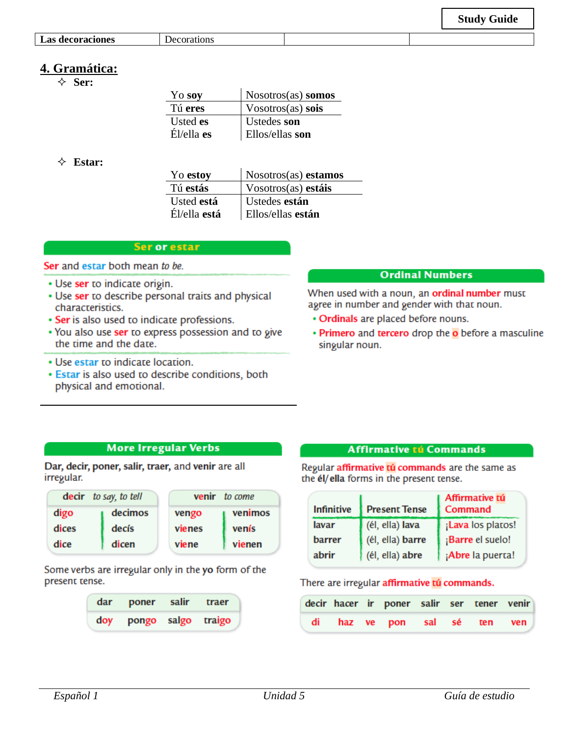| <b>Las decoraciones</b> |  |
|-------------------------|--|

**Las decoraciones** Decorations

# **4. Gramática:**

**Ser:**

| Yo soy        | $N$ osotros $(as)$ somos |
|---------------|--------------------------|
| Tú eres       | $V$ osotros $(as)$ sois  |
| Usted es      | Ustedes son              |
| $E1$ /ella es | Ellos/ellas son          |

#### **Estar:**

| Yo estoy     | Nosotros(as) estamos |
|--------------|----------------------|
| Tú estás     | Vosotros(as) estáis  |
| Usted está   | Ustedes están        |
| Él/ella está | Ellos/ellas están    |
|              |                      |

#### Ser or estar

Ser and estar both mean to be.

- Use ser to indicate origin.
- Use ser to describe personal traits and physical characteristics.
- Ser is also used to indicate professions.
- . You also use ser to express possession and to give the time and the date.
- Use estar to indicate location.
- · Estar is also used to describe conditions, both physical and emotional.

#### **Ordinal Numbers**

When used with a noun, an ordinal number must agree in number and gender with that noun.

- Ordinals are placed before nouns.
- Primero and tercero drop the o before a masculine singular noun.

#### **More Irregular Verbs**

Dar, decir, poner, salir, traer, and venir are all irregular.

| decir to say, to tell |         | <b>venir</b> to come |         |  |
|-----------------------|---------|----------------------|---------|--|
| digo                  | decimos | vengo                | venimos |  |
| dices                 | decís   | vienes               | venís   |  |
| dice                  | dicen   | viene                | vienen  |  |

Some verbs are irregular only in the yo form of the present tense.

| dar poner salir traer  |  |
|------------------------|--|
| doy pongo salgo traigo |  |

#### **Affirmative tú Commands**

Regular affirmative tú commands are the same as the él/ella forms in the present tense.

| <b>Infinitive</b> | Affirmative tú<br>Command<br><b>Present Tense</b> |                   |
|-------------------|---------------------------------------------------|-------------------|
| lavar             | (él, ella) lava                                   | ¡Lava los platos! |
| barrer            | (él, ella) barre                                  | ¡Barre el suelo!  |
| abrir             | (él, ella) abre                                   | ¡Abre la puerta!  |

#### There are irregular affirmative tú commands.

|  | decir hacer ir poner salir ser tener venir |  |  |
|--|--------------------------------------------|--|--|
|  | di haz ve pon sal sé ten ven               |  |  |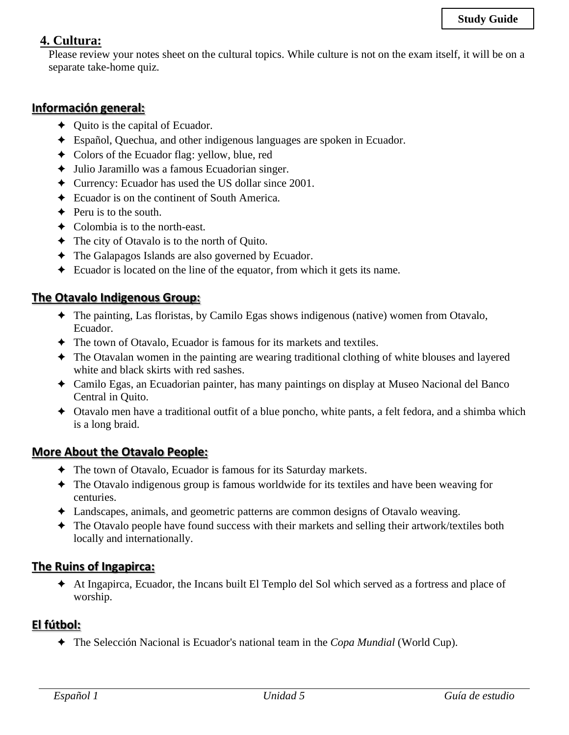# **4. Cultura:**

Please review your notes sheet on the cultural topics. While culture is not on the exam itself, it will be on a separate take-home quiz.

### **Información general:**

- ✦ Quito is the capital of Ecuador.
- ✦ Español, Quechua, and other indigenous languages are spoken in Ecuador.
- ✦ Colors of the Ecuador flag: yellow, blue, red
- ✦ Julio Jaramillo was a famous Ecuadorian singer.
- ✦ Currency: Ecuador has used the US dollar since 2001.
- ✦ Ecuador is on the continent of South America.
- $\triangle$  Peru is to the south.
- ✦ Colombia is to the north-east.
- ✦ The city of Otavalo is to the north of Quito.
- ✦ The Galapagos Islands are also governed by Ecuador.
- ✦ Ecuador is located on the line of the equator, from which it gets its name.

### **The Otavalo Indigenous Group:**

- ✦ The painting, Las floristas, by Camilo Egas shows indigenous (native) women from Otavalo, Ecuador.
- ✦ The town of Otavalo, Ecuador is famous for its markets and textiles.
- ✦ The Otavalan women in the painting are wearing traditional clothing of white blouses and layered white and black skirts with red sashes.
- ✦ Camilo Egas, an Ecuadorian painter, has many paintings on display at Museo Nacional del Banco Central in Quito.
- ✦ Otavalo men have a traditional outfit of a blue poncho, white pants, a felt fedora, and a shimba which is a long braid.

### **More About the Otavalo People:**

- ✦ The town of Otavalo, Ecuador is famous for its Saturday markets.
- ✦ The Otavalo indigenous group is famous worldwide for its textiles and have been weaving for centuries.
- ✦ Landscapes, animals, and geometric patterns are common designs of Otavalo weaving.
- ✦ The Otavalo people have found success with their markets and selling their artwork/textiles both locally and internationally.

### **The Ruins of Ingapirca:**

✦ At Ingapirca, Ecuador, the Incans built El Templo del Sol which served as a fortress and place of worship.

### **El fútbol:**

✦ The Selección Nacional is Ecuador's national team in the *Copa Mundial* (World Cup).